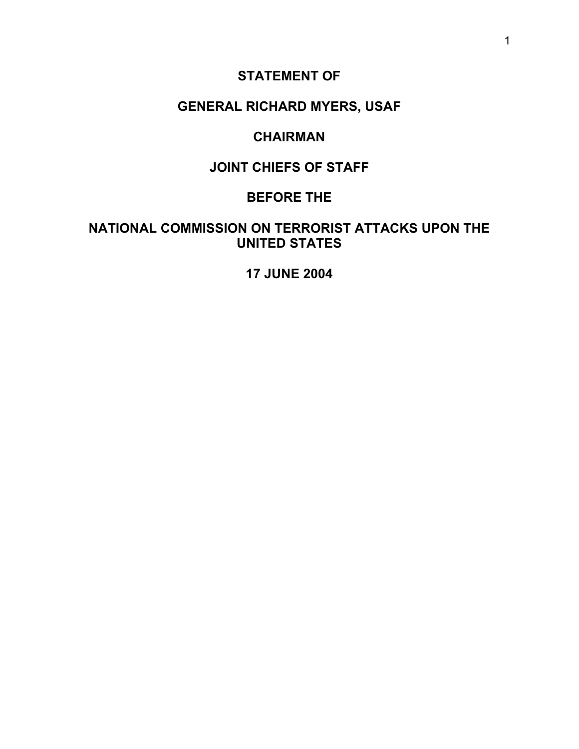# **STATEMENT OF**

# **GENERAL RICHARD MYERS, USAF**

### **CHAIRMAN**

# **JOINT CHIEFS OF STAFF**

### **BEFORE THE**

# **NATIONAL COMMISSION ON TERRORIST ATTACKS UPON THE UNITED STATES**

### **17 JUNE 2004**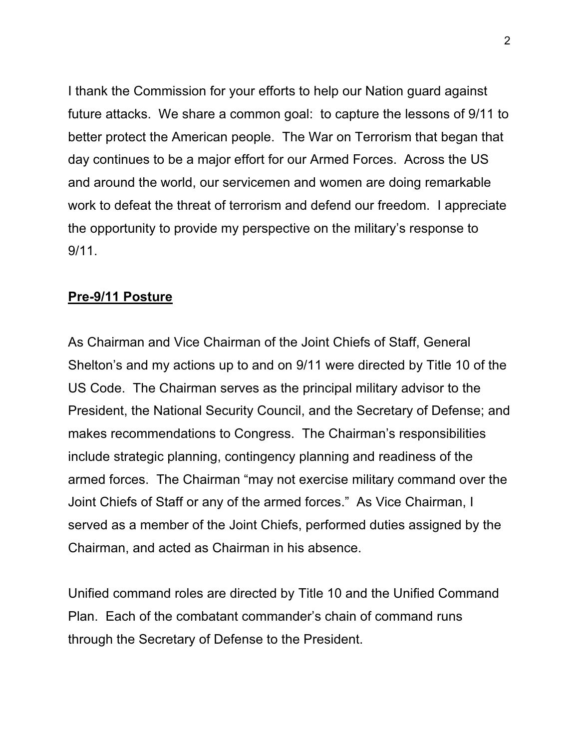I thank the Commission for your efforts to help our Nation guard against future attacks. We share a common goal: to capture the lessons of 9/11 to better protect the American people. The War on Terrorism that began that day continues to be a major effort for our Armed Forces. Across the US and around the world, our servicemen and women are doing remarkable work to defeat the threat of terrorism and defend our freedom. I appreciate the opportunity to provide my perspective on the military's response to 9/11.

#### **Pre-9/11 Posture**

As Chairman and Vice Chairman of the Joint Chiefs of Staff, General Shelton's and my actions up to and on 9/11 were directed by Title 10 of the US Code. The Chairman serves as the principal military advisor to the President, the National Security Council, and the Secretary of Defense; and makes recommendations to Congress. The Chairman's responsibilities include strategic planning, contingency planning and readiness of the armed forces. The Chairman "may not exercise military command over the Joint Chiefs of Staff or any of the armed forces." As Vice Chairman, I served as a member of the Joint Chiefs, performed duties assigned by the Chairman, and acted as Chairman in his absence.

Unified command roles are directed by Title 10 and the Unified Command Plan. Each of the combatant commander's chain of command runs through the Secretary of Defense to the President.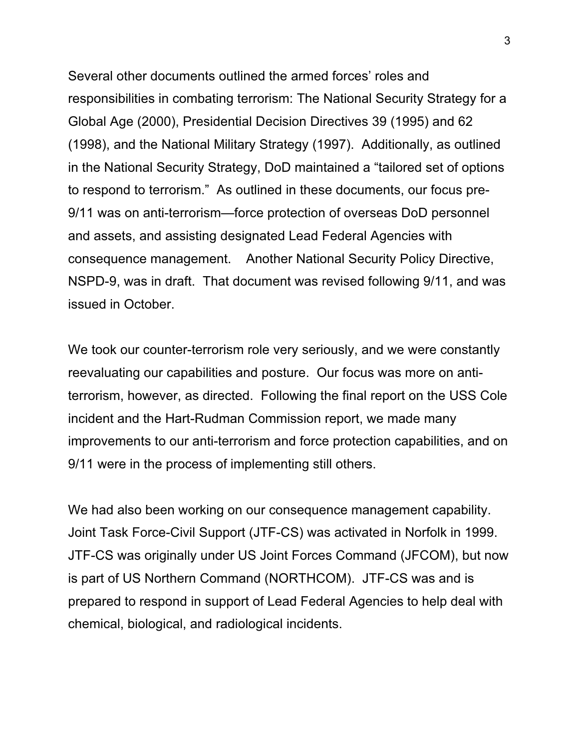Several other documents outlined the armed forces' roles and responsibilities in combating terrorism: The National Security Strategy for a Global Age (2000), Presidential Decision Directives 39 (1995) and 62 (1998), and the National Military Strategy (1997). Additionally, as outlined in the National Security Strategy, DoD maintained a "tailored set of options to respond to terrorism." As outlined in these documents, our focus pre-9/11 was on anti-terrorism—force protection of overseas DoD personnel and assets, and assisting designated Lead Federal Agencies with consequence management. Another National Security Policy Directive, NSPD-9, was in draft. That document was revised following 9/11, and was issued in October.

We took our counter-terrorism role very seriously, and we were constantly reevaluating our capabilities and posture. Our focus was more on antiterrorism, however, as directed. Following the final report on the USS Cole incident and the Hart-Rudman Commission report, we made many improvements to our anti-terrorism and force protection capabilities, and on 9/11 were in the process of implementing still others.

We had also been working on our consequence management capability. Joint Task Force-Civil Support (JTF-CS) was activated in Norfolk in 1999. JTF-CS was originally under US Joint Forces Command (JFCOM), but now is part of US Northern Command (NORTHCOM). JTF-CS was and is prepared to respond in support of Lead Federal Agencies to help deal with chemical, biological, and radiological incidents.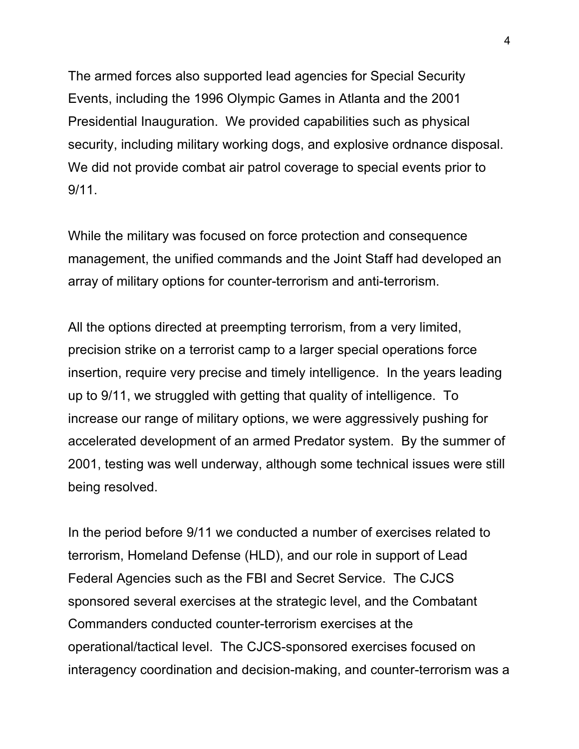The armed forces also supported lead agencies for Special Security Events, including the 1996 Olympic Games in Atlanta and the 2001 Presidential Inauguration. We provided capabilities such as physical security, including military working dogs, and explosive ordnance disposal. We did not provide combat air patrol coverage to special events prior to 9/11.

While the military was focused on force protection and consequence management, the unified commands and the Joint Staff had developed an array of military options for counter-terrorism and anti-terrorism.

All the options directed at preempting terrorism, from a very limited, precision strike on a terrorist camp to a larger special operations force insertion, require very precise and timely intelligence. In the years leading up to 9/11, we struggled with getting that quality of intelligence. To increase our range of military options, we were aggressively pushing for accelerated development of an armed Predator system. By the summer of 2001, testing was well underway, although some technical issues were still being resolved.

In the period before 9/11 we conducted a number of exercises related to terrorism, Homeland Defense (HLD), and our role in support of Lead Federal Agencies such as the FBI and Secret Service. The CJCS sponsored several exercises at the strategic level, and the Combatant Commanders conducted counter-terrorism exercises at the operational/tactical level. The CJCS-sponsored exercises focused on interagency coordination and decision-making, and counter-terrorism was a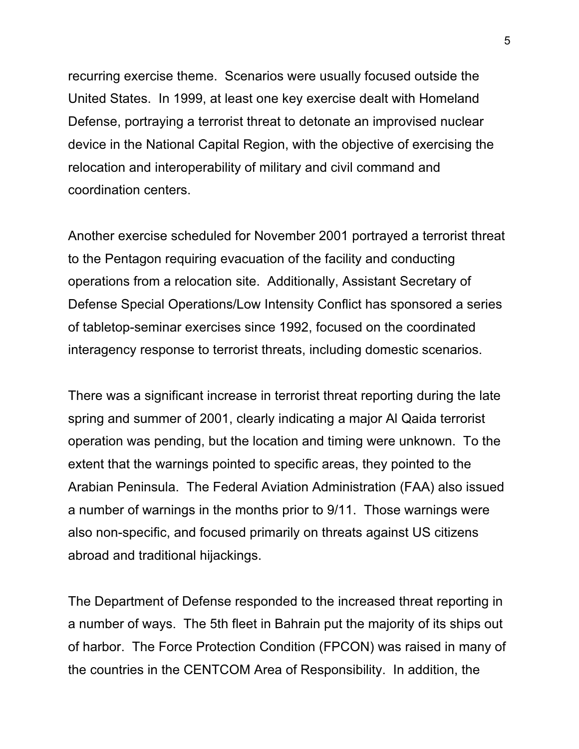recurring exercise theme. Scenarios were usually focused outside the United States. In 1999, at least one key exercise dealt with Homeland Defense, portraying a terrorist threat to detonate an improvised nuclear device in the National Capital Region, with the objective of exercising the relocation and interoperability of military and civil command and coordination centers.

Another exercise scheduled for November 2001 portrayed a terrorist threat to the Pentagon requiring evacuation of the facility and conducting operations from a relocation site. Additionally, Assistant Secretary of Defense Special Operations/Low Intensity Conflict has sponsored a series of tabletop-seminar exercises since 1992, focused on the coordinated interagency response to terrorist threats, including domestic scenarios.

There was a significant increase in terrorist threat reporting during the late spring and summer of 2001, clearly indicating a major Al Qaida terrorist operation was pending, but the location and timing were unknown. To the extent that the warnings pointed to specific areas, they pointed to the Arabian Peninsula. The Federal Aviation Administration (FAA) also issued a number of warnings in the months prior to 9/11. Those warnings were also non-specific, and focused primarily on threats against US citizens abroad and traditional hijackings.

The Department of Defense responded to the increased threat reporting in a number of ways. The 5th fleet in Bahrain put the majority of its ships out of harbor. The Force Protection Condition (FPCON) was raised in many of the countries in the CENTCOM Area of Responsibility. In addition, the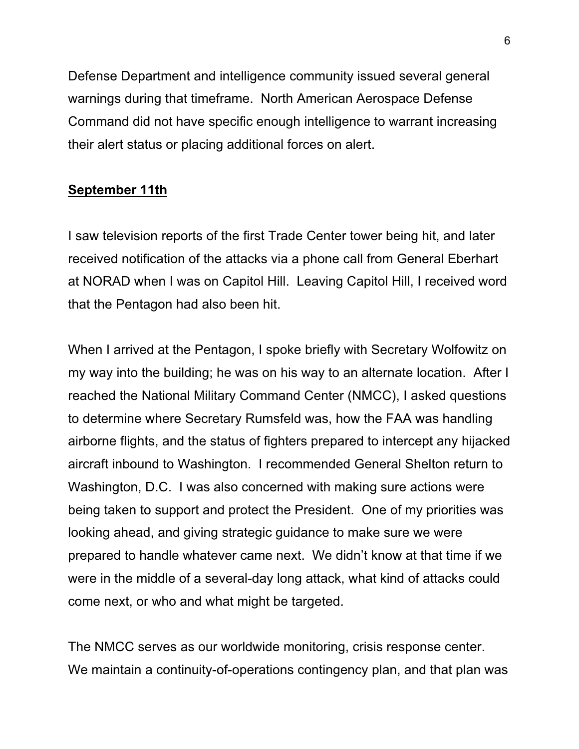Defense Department and intelligence community issued several general warnings during that timeframe. North American Aerospace Defense Command did not have specific enough intelligence to warrant increasing their alert status or placing additional forces on alert.

# **September 11th**

I saw television reports of the first Trade Center tower being hit, and later received notification of the attacks via a phone call from General Eberhart at NORAD when I was on Capitol Hill. Leaving Capitol Hill, I received word that the Pentagon had also been hit.

When I arrived at the Pentagon, I spoke briefly with Secretary Wolfowitz on my way into the building; he was on his way to an alternate location. After I reached the National Military Command Center (NMCC), I asked questions to determine where Secretary Rumsfeld was, how the FAA was handling airborne flights, and the status of fighters prepared to intercept any hijacked aircraft inbound to Washington. I recommended General Shelton return to Washington, D.C. I was also concerned with making sure actions were being taken to support and protect the President. One of my priorities was looking ahead, and giving strategic guidance to make sure we were prepared to handle whatever came next. We didn't know at that time if we were in the middle of a several-day long attack, what kind of attacks could come next, or who and what might be targeted.

The NMCC serves as our worldwide monitoring, crisis response center. We maintain a continuity-of-operations contingency plan, and that plan was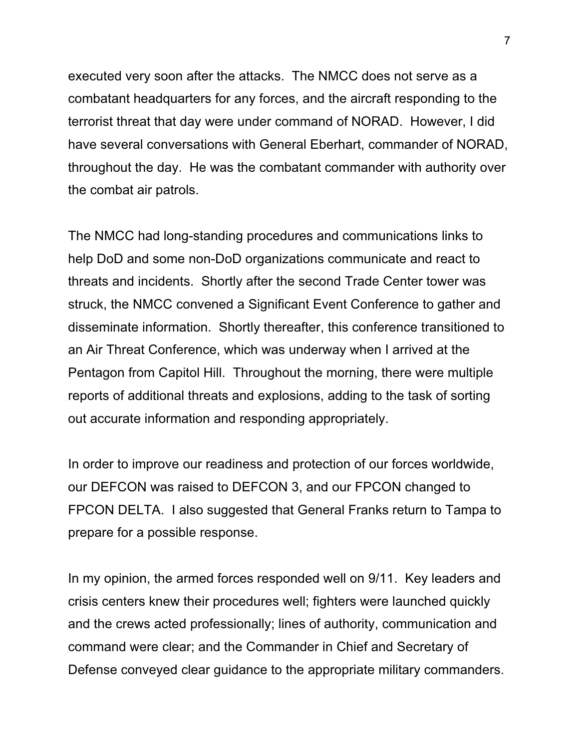executed very soon after the attacks. The NMCC does not serve as a combatant headquarters for any forces, and the aircraft responding to the terrorist threat that day were under command of NORAD. However, I did have several conversations with General Eberhart, commander of NORAD, throughout the day. He was the combatant commander with authority over the combat air patrols.

The NMCC had long-standing procedures and communications links to help DoD and some non-DoD organizations communicate and react to threats and incidents. Shortly after the second Trade Center tower was struck, the NMCC convened a Significant Event Conference to gather and disseminate information. Shortly thereafter, this conference transitioned to an Air Threat Conference, which was underway when I arrived at the Pentagon from Capitol Hill. Throughout the morning, there were multiple reports of additional threats and explosions, adding to the task of sorting out accurate information and responding appropriately.

In order to improve our readiness and protection of our forces worldwide, our DEFCON was raised to DEFCON 3, and our FPCON changed to FPCON DELTA. I also suggested that General Franks return to Tampa to prepare for a possible response.

In my opinion, the armed forces responded well on 9/11. Key leaders and crisis centers knew their procedures well; fighters were launched quickly and the crews acted professionally; lines of authority, communication and command were clear; and the Commander in Chief and Secretary of Defense conveyed clear guidance to the appropriate military commanders.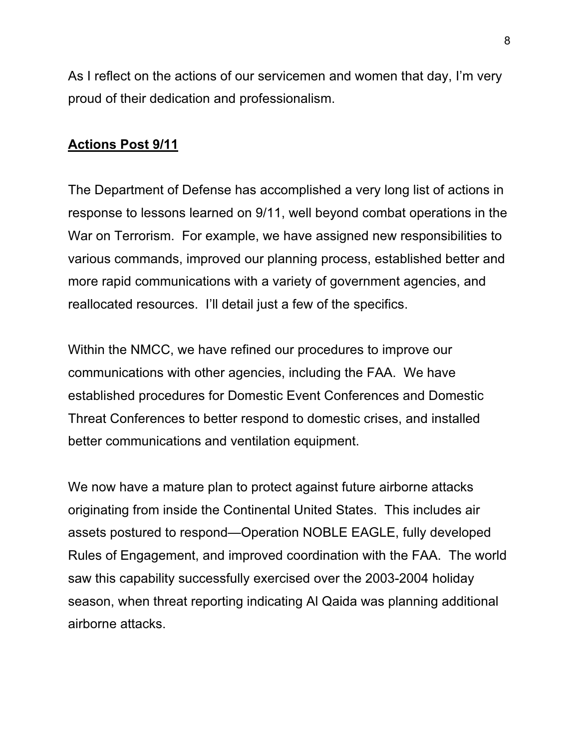As I reflect on the actions of our servicemen and women that day, I'm very proud of their dedication and professionalism.

# **Actions Post 9/11**

The Department of Defense has accomplished a very long list of actions in response to lessons learned on 9/11, well beyond combat operations in the War on Terrorism. For example, we have assigned new responsibilities to various commands, improved our planning process, established better and more rapid communications with a variety of government agencies, and reallocated resources. I'll detail just a few of the specifics.

Within the NMCC, we have refined our procedures to improve our communications with other agencies, including the FAA. We have established procedures for Domestic Event Conferences and Domestic Threat Conferences to better respond to domestic crises, and installed better communications and ventilation equipment.

We now have a mature plan to protect against future airborne attacks originating from inside the Continental United States. This includes air assets postured to respond—Operation NOBLE EAGLE, fully developed Rules of Engagement, and improved coordination with the FAA. The world saw this capability successfully exercised over the 2003-2004 holiday season, when threat reporting indicating Al Qaida was planning additional airborne attacks.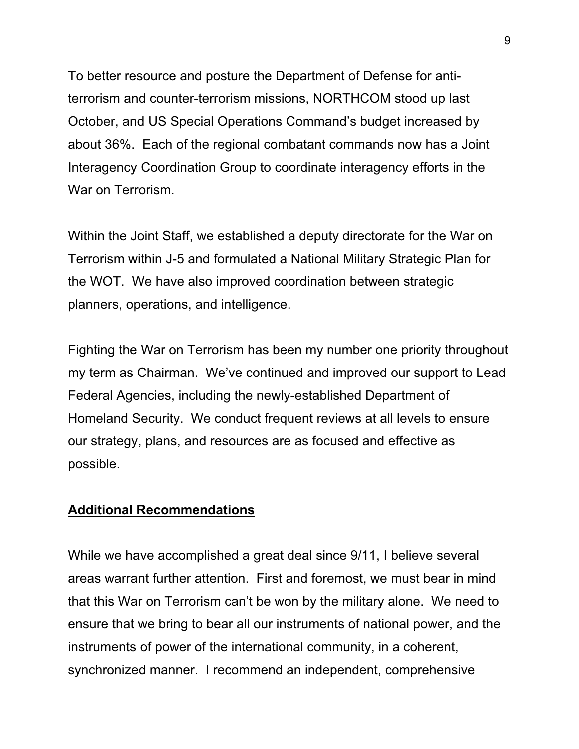To better resource and posture the Department of Defense for antiterrorism and counter-terrorism missions, NORTHCOM stood up last October, and US Special Operations Command's budget increased by about 36%. Each of the regional combatant commands now has a Joint Interagency Coordination Group to coordinate interagency efforts in the War on Terrorism.

Within the Joint Staff, we established a deputy directorate for the War on Terrorism within J-5 and formulated a National Military Strategic Plan for the WOT. We have also improved coordination between strategic planners, operations, and intelligence.

Fighting the War on Terrorism has been my number one priority throughout my term as Chairman. We've continued and improved our support to Lead Federal Agencies, including the newly-established Department of Homeland Security. We conduct frequent reviews at all levels to ensure our strategy, plans, and resources are as focused and effective as possible.

#### **Additional Recommendations**

While we have accomplished a great deal since 9/11, I believe several areas warrant further attention. First and foremost, we must bear in mind that this War on Terrorism can't be won by the military alone. We need to ensure that we bring to bear all our instruments of national power, and the instruments of power of the international community, in a coherent, synchronized manner. I recommend an independent, comprehensive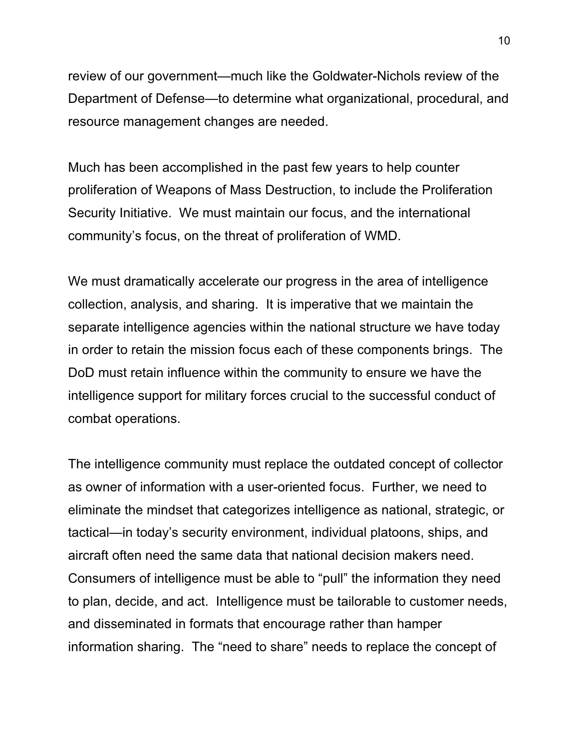review of our government—much like the Goldwater-Nichols review of the Department of Defense—to determine what organizational, procedural, and resource management changes are needed.

Much has been accomplished in the past few years to help counter proliferation of Weapons of Mass Destruction, to include the Proliferation Security Initiative. We must maintain our focus, and the international community's focus, on the threat of proliferation of WMD.

We must dramatically accelerate our progress in the area of intelligence collection, analysis, and sharing. It is imperative that we maintain the separate intelligence agencies within the national structure we have today in order to retain the mission focus each of these components brings. The DoD must retain influence within the community to ensure we have the intelligence support for military forces crucial to the successful conduct of combat operations.

The intelligence community must replace the outdated concept of collector as owner of information with a user-oriented focus. Further, we need to eliminate the mindset that categorizes intelligence as national, strategic, or tactical—in today's security environment, individual platoons, ships, and aircraft often need the same data that national decision makers need. Consumers of intelligence must be able to "pull" the information they need to plan, decide, and act. Intelligence must be tailorable to customer needs, and disseminated in formats that encourage rather than hamper information sharing. The "need to share" needs to replace the concept of